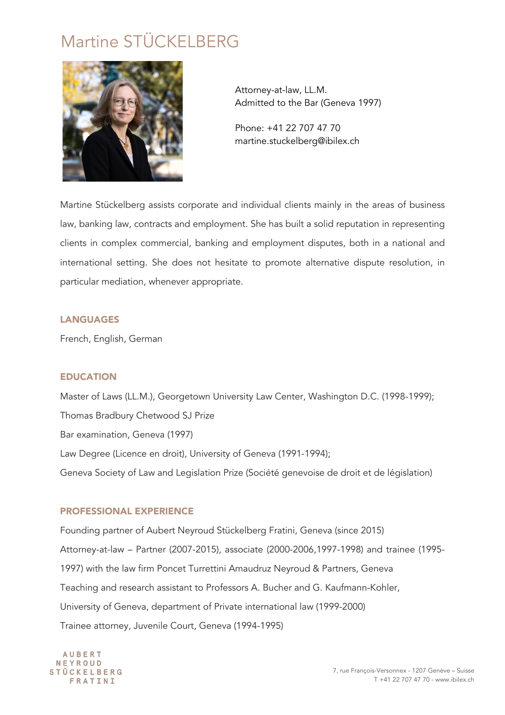# Martine STÜCKELBERG



Attorney-at-law, LL.M. Admitted to the Bar (Geneva 1997)

Phone: +41 22 707 47 70 martine.stuckelberg@ibilex.ch

Martine Stückelberg assists corporate and individual clients mainly in the areas of business law, banking law, contracts and employment. She has built a solid reputation in representing clients in complex commercial, banking and employment disputes, both in a national and international setting. She does not hesitate to promote alternative dispute resolution, in particular mediation, whenever appropriate.

## **LANGUAGES**

French, English, German

## EDUCATION

Master of Laws (LL.M.), Georgetown University Law Center, Washington D.C. (1998-1999); Thomas Bradbury Chetwood SJ Prize Bar examination, Geneva (1997) Law Degree (Licence en droit), University of Geneva (1991-1994); Geneva Society of Law and Legislation Prize (Société genevoise de droit et de législation)

## PROFESSIONAL EXPERIENCE

Founding partner of Aubert Neyroud Stückelberg Fratini, Geneva (since 2015) Attorney-at-law – Partner (2007-2015), associate (2000-2006,1997-1998) and trainee (1995- 1997) with the law firm Poncet Turrettini Amaudruz Neyroud & Partners, Geneva Teaching and research assistant to Professors A. Bucher and G. Kaufmann-Kohler, University of Geneva, department of Private international law (1999-2000) Trainee attorney, Juvenile Court, Geneva (1994-1995)

**AUBERT** NEYROUD **STÜCKELBERG** FRATINI